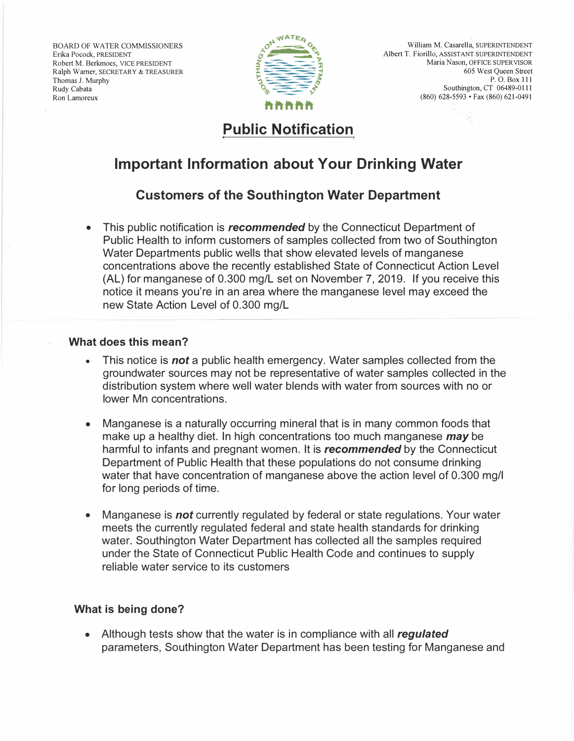BOARD OF WATER COMMISSIONERS Erika Pocock, PRESIDENT Robert M. Berkmoes, VICE PRESIDENT Ralph Warner, SECRETARY & TREASURER Thomas J. Murphy Rudy Cabata Ron Lamoreux



# **Public Notification**

# **Important Information about Your Drinking Water**

### **Customers of the Southington Water Department**

• This public notification is *recommended* by the Connecticut Department of Public Health to inform customers of samples collected from two of Southington Water Departments public wells that show elevated levels of manganese concentrations above the recently established State of Connecticut Action Level (AL) for manganese of 0.300 mg/L set on November 7, 2019. If you receive this notice it means you're in an area where the manganese level may exceed the new State Action Level of 0.300 mg/L

#### **What does this mean?**

- This notice is *not* a public health emergency. Water samples collected from the groundwater sources may not be representative of water samples collected in the distribution system where well water blends with water from sources with no or lower Mn concentrations.
- Manganese is a naturally occurring mineral that is in many common foods that make up a healthy diet. In high concentrations too much manganese *may* be harmful to infants and pregnant women. It is *recommended* by the Connecticut Department of Public Health that these populations do not consume drinking water that have concentration of manganese above the action level of 0.300 mg/I for long periods of time.
- Manganese is *not* currently regulated by federal or state regulations. Your water meets the currently regulated federal and state health standards for drinking water. Southington Water Department has collected all the samples required under the State of Connecticut Public Health Code and continues to supply reliable water service to its customers

### **What is being done?**

• Although tests show that the water is in compliance with all *regulated* parameters, Southington Water Department has been testing for Manganese and